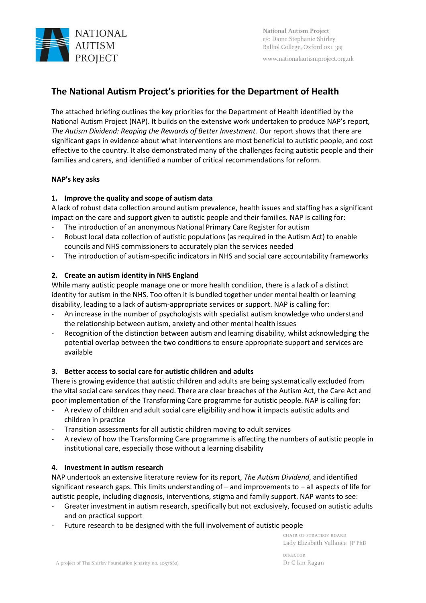

www.nationalautismproject.org.uk

# **The National Autism Project's priorities for the Department of Health**

The attached briefing outlines the key priorities for the Department of Health identified by the National Autism Project (NAP). It builds on the extensive work undertaken to produce NAP's report, *The Autism Dividend: Reaping the Rewards of Better Investment.* Our report shows that there are significant gaps in evidence about what interventions are most beneficial to autistic people, and cost effective to the country. It also demonstrated many of the challenges facing autistic people and their families and carers, and identified a number of critical recommendations for reform.

## **NAP's key asks**

# **1. Improve the quality and scope of autism data**

A lack of robust data collection around autism prevalence, health issues and staffing has a significant impact on the care and support given to autistic people and their families. NAP is calling for:

- The introduction of an anonymous National Primary Care Register for autism
- Robust local data collection of autistic populations (as required in the Autism Act) to enable councils and NHS commissioners to accurately plan the services needed
- The introduction of autism-specific indicators in NHS and social care accountability frameworks

## **2. Create an autism identity in NHS England**

While many autistic people manage one or more health condition, there is a lack of a distinct identity for autism in the NHS. Too often it is bundled together under mental health or learning disability, leading to a lack of autism-appropriate services or support. NAP is calling for:

- An increase in the number of psychologists with specialist autism knowledge who understand the relationship between autism, anxiety and other mental health issues
- Recognition of the distinction between autism and learning disability, whilst acknowledging the potential overlap between the two conditions to ensure appropriate support and services are available

### **3. Better access to social care for autistic children and adults**

There is growing evidence that autistic children and adults are being systematically excluded from the vital social care services they need. There are clear breaches of the Autism Act, the Care Act and poor implementation of the Transforming Care programme for autistic people. NAP is calling for:

- A review of children and adult social care eligibility and how it impacts autistic adults and children in practice
- Transition assessments for all autistic children moving to adult services
- A review of how the Transforming Care programme is affecting the numbers of autistic people in institutional care, especially those without a learning disability

### **4. Investment in autism research**

NAP undertook an extensive literature review for its report, *The Autism Dividend*, and identified significant research gaps. This limits understanding of – and improvements to – all aspects of life for autistic people, including diagnosis, interventions, stigma and family support. NAP wants to see:

- Greater investment in autism research, specifically but not exclusively, focused on autistic adults and on practical support
- Future research to be designed with the full involvement of autistic people

CHAIR OF STRATEGY BOARD Lady Elizabeth Vallance JP PhD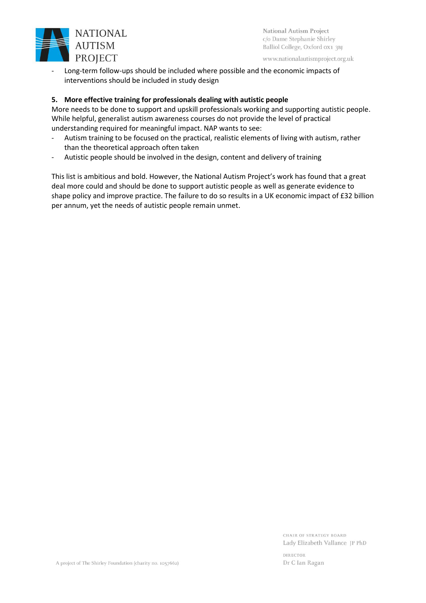

www.nationalautismproject.org.uk

Long-term follow-ups should be included where possible and the economic impacts of interventions should be included in study design

## **5. More effective training for professionals dealing with autistic people**

More needs to be done to support and upskill professionals working and supporting autistic people. While helpful, generalist autism awareness courses do not provide the level of practical understanding required for meaningful impact. NAP wants to see:

- Autism training to be focused on the practical, realistic elements of living with autism, rather than the theoretical approach often taken
- Autistic people should be involved in the design, content and delivery of training

This list is ambitious and bold. However, the National Autism Project's work has found that a great deal more could and should be done to support autistic people as well as generate evidence to shape policy and improve practice. The failure to do so results in a UK economic impact of £32 billion per annum, yet the needs of autistic people remain unmet.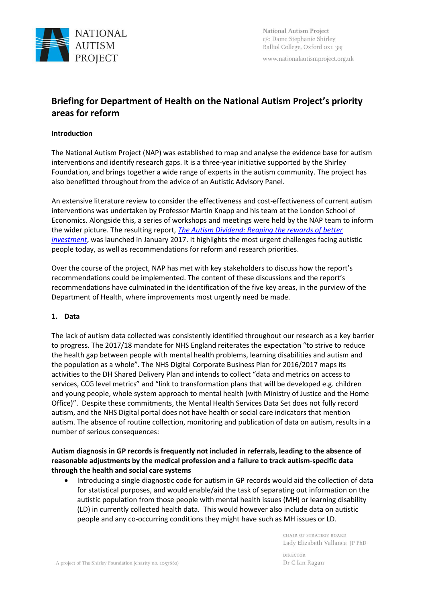

www.nationalautismproject.org.uk

# **Briefing for Department of Health on the National Autism Project's priority areas for reform**

### **Introduction**

The National Autism Project (NAP) was established to map and analyse the evidence base for autism interventions and identify research gaps. It is a three-year initiative supported by the Shirley Foundation, and brings together a wide range of experts in the autism community. The project has also benefitted throughout from the advice of an Autistic Advisory Panel.

An extensive literature review to consider the effectiveness and cost-effectiveness of current autism interventions was undertaken by Professor Martin Knapp and his team at the London School of Economics. Alongside this, a series of workshops and meetings were held by the NAP team to inform the wider picture. The resulting report, *[The Autism Dividend: Reaping the rewards of better](http://nationalautismproject.org.uk/wp-content/uploads/2017/01/autism-dividend-report.pdf)  [investment](http://nationalautismproject.org.uk/wp-content/uploads/2017/01/autism-dividend-report.pdf)*, was launched in January 2017. It highlights the most urgent challenges facing autistic people today, as well as recommendations for reform and research priorities.

Over the course of the project, NAP has met with key stakeholders to discuss how the report's recommendations could be implemented. The content of these discussions and the report's recommendations have culminated in the identification of the five key areas, in the purview of the Department of Health, where improvements most urgently need be made.

### **1. Data**

The lack of autism data collected was consistently identified throughout our research as a key barrier to progress. The 2017/18 mandate for NHS England reiterates the expectation "to strive to reduce the health gap between people with mental health problems, learning disabilities and autism and the population as a whole". The NHS Digital Corporate Business Plan for 2016/2017 maps its activities to the DH Shared Delivery Plan and intends to collect "data and metrics on access to services, CCG level metrics" and "link to transformation plans that will be developed e.g. children and young people, whole system approach to mental health (with Ministry of Justice and the Home Office)". Despite these commitments, the Mental Health Services Data Set does not fully record autism, and the NHS Digital portal does not have health or social care indicators that mention autism. The absence of routine collection, monitoring and publication of data on autism, results in a number of serious consequences:

# **Autism diagnosis in GP records is frequently not included in referrals, leading to the absence of reasonable adjustments by the medical profession and a failure to track autism-specific data through the health and social care systems**

• Introducing a single diagnostic code for autism in GP records would aid the collection of data for statistical purposes, and would enable/aid the task of separating out information on the autistic population from those people with mental health issues (MH) or learning disability (LD) in currently collected health data. This would however also include data on autistic people and any co-occurring conditions they might have such as MH issues or LD.

> CHAIR OF STRATEGY BOARD Lady Elizabeth Vallance JP PhD

**DIRECTOR** Dr C Ian Ragan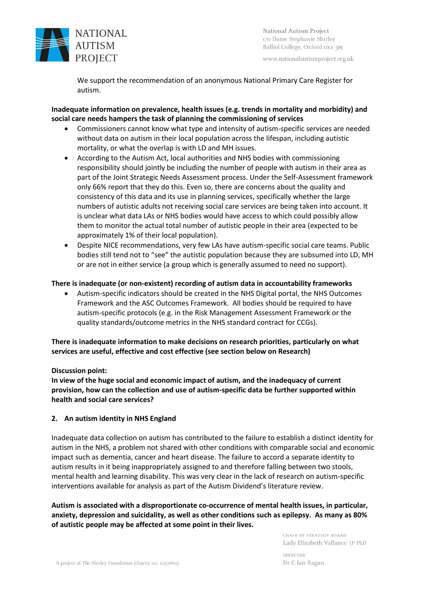

www.nationalautismproject.org.uk

We support the recommendation of an anonymous National Primary Care Register for autism.

# **Inadequate information on prevalence, health issues (e.g. trends in mortality and morbidity) and social care needs hampers the task of planning the commissioning of services**

- Commissioners cannot know what type and intensity of autism-specific services are needed without data on autism in their local population across the lifespan, including autistic mortality, or what the overlap is with LD and MH issues.
- According to the Autism Act, local authorities and NHS bodies with commissioning responsibility should jointly be including the number of people with autism in their area as part of the Joint Strategic Needs Assessment process. Under the Self-Assessment framework only 66% report that they do this. Even so, there are concerns about the quality and consistency of this data and its use in planning services, specifically whether the large numbers of autistic adults not receiving social care services are being taken into account. It is unclear what data LAs or NHS bodies would have access to which could possibly allow them to monitor the actual total number of autistic people in their area (expected to be approximately 1% of their local population).
- Despite NICE recommendations, very few LAs have autism-specific social care teams. Public bodies still tend not to "see" the autistic population because they are subsumed into LD, MH or are not in either service (a group which is generally assumed to need no support).

## **There is inadequate (or non-existent) recording of autism data in accountability frameworks**

• Autism-specific indicators should be created in the NHS Digital portal, the NHS Outcomes Framework and the ASC Outcomes Framework. All bodies should be required to have autism-specific protocols (e.g. in the Risk Management Assessment Framework or the quality standards/outcome metrics in the NHS standard contract for CCGs).

**There is inadequate information to make decisions on research priorities, particularly on what services are useful, effective and cost effective (see section below on Research)**

### **Discussion point:**

**In view of the huge social and economic impact of autism, and the inadequacy of current provision, how can the collection and use of autism-specific data be further supported within health and social care services?**

### **2. An autism identity in NHS England**

Inadequate data collection on autism has contributed to the failure to establish a distinct identity for autism in the NHS, a problem not shared with other conditions with comparable social and economic impact such as dementia, cancer and heart disease. The failure to accord a separate identity to autism results in it being inappropriately assigned to and therefore falling between two stools, mental health and learning disability. This was very clear in the lack of research on autism-specific interventions available for analysis as part of the Autism Dividend's literature review.

**Autism is associated with a disproportionate co-occurrence of mental health issues, in particular, anxiety, depression and suicidality, as well as other conditions such as epilepsy. As many as 80% of autistic people may be affected at some point in their lives.**

> CHAIR OF STRATEGY BOARD Lady Elizabeth Vallance JP PhD **DIRECTOR** Dr C Ian Ragan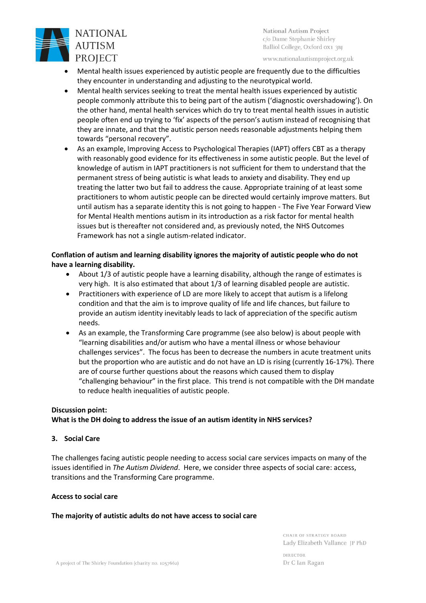

www.nationalautismproject.org.uk

- Mental health issues experienced by autistic people are frequently due to the difficulties they encounter in understanding and adjusting to the neurotypical world.
- Mental health services seeking to treat the mental health issues experienced by autistic people commonly attribute this to being part of the autism ('diagnostic overshadowing'). On the other hand, mental health services which do try to treat mental health issues in autistic people often end up trying to 'fix' aspects of the person's autism instead of recognising that they are innate, and that the autistic person needs reasonable adjustments helping them towards "personal recovery".
- As an example, Improving Access to Psychological Therapies (IAPT) offers CBT as a therapy with reasonably good evidence for its effectiveness in some autistic people. But the level of knowledge of autism in IAPT practitioners is not sufficient for them to understand that the permanent stress of being autistic is what leads to anxiety and disability. They end up treating the latter two but fail to address the cause. Appropriate training of at least some practitioners to whom autistic people can be directed would certainly improve matters. But until autism has a separate identity this is not going to happen - The Five Year Forward View for Mental Health mentions autism in its introduction as a risk factor for mental health issues but is thereafter not considered and, as previously noted, the NHS Outcomes Framework has not a single autism-related indicator.

# **Conflation of autism and learning disability ignores the majority of autistic people who do not have a learning disability.**

- About 1/3 of autistic people have a learning disability, although the range of estimates is very high. It is also estimated that about 1/3 of learning disabled people are autistic.
- Practitioners with experience of LD are more likely to accept that autism is a lifelong condition and that the aim is to improve quality of life and life chances, but failure to provide an autism identity inevitably leads to lack of appreciation of the specific autism needs.
- As an example, the Transforming Care programme (see also below) is about people with "learning disabilities and/or autism who have a mental illness or whose behaviour challenges services". The focus has been to decrease the numbers in acute treatment units but the proportion who are autistic and do not have an LD is rising (currently 16-17%). There are of course further questions about the reasons which caused them to display "challenging behaviour" in the first place. This trend is not compatible with the DH mandate to reduce health inequalities of autistic people.

### **Discussion point:**

**What is the DH doing to address the issue of an autism identity in NHS services?**

### **3. Social Care**

The challenges facing autistic people needing to access social care services impacts on many of the issues identified in *The Autism Dividend*. Here, we consider three aspects of social care: access, transitions and the Transforming Care programme.

### **Access to social care**

# **The majority of autistic adults do not have access to social care**

CHAIR OF STRATEGY BOARD Lady Elizabeth Vallance JP PhD

**DIRECTOR** Dr C Ian Ragan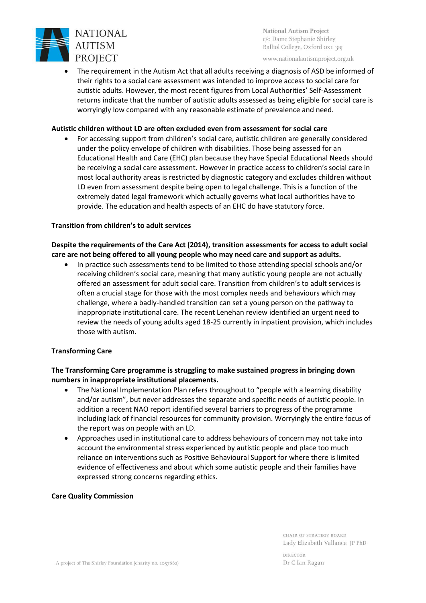

www.nationalautismproject.org.uk

• The requirement in the Autism Act that all adults receiving a diagnosis of ASD be informed of their rights to a social care assessment was intended to improve access to social care for autistic adults. However, the most recent figures from Local Authorities' Self-Assessment returns indicate that the number of autistic adults assessed as being eligible for social care is worryingly low compared with any reasonable estimate of prevalence and need.

### **Autistic children without LD are often excluded even from assessment for social care**

• For accessing support from children's social care, autistic children are generally considered under the policy envelope of children with disabilities. Those being assessed for an Educational Health and Care (EHC) plan because they have Special Educational Needs should be receiving a social care assessment. However in practice access to children's social care in most local authority areas is restricted by diagnostic category and excludes children without LD even from assessment despite being open to legal challenge. This is a function of the extremely dated legal framework which actually governs what local authorities have to provide. The education and health aspects of an EHC do have statutory force.

### **Transition from children's to adult services**

## **Despite the requirements of the Care Act (2014), transition assessments for access to adult social care are not being offered to all young people who may need care and support as adults.**

• In practice such assessments tend to be limited to those attending special schools and/or receiving children's social care, meaning that many autistic young people are not actually offered an assessment for adult social care. Transition from children's to adult services is often a crucial stage for those with the most complex needs and behaviours which may challenge, where a badly-handled transition can set a young person on the pathway to inappropriate institutional care. The recent Lenehan review identified an urgent need to review the needs of young adults aged 18-25 currently in inpatient provision, which includes those with autism.

### **Transforming Care**

# **The Transforming Care programme is struggling to make sustained progress in bringing down numbers in inappropriate institutional placements.**

- The National Implementation Plan refers throughout to "people with a learning disability and/or autism", but never addresses the separate and specific needs of autistic people. In addition a recent NAO report identified several barriers to progress of the programme including lack of financial resources for community provision. Worryingly the entire focus of the report was on people with an LD.
- Approaches used in institutional care to address behaviours of concern may not take into account the environmental stress experienced by autistic people and place too much reliance on interventions such as Positive Behavioural Support for where there is limited evidence of effectiveness and about which some autistic people and their families have expressed strong concerns regarding ethics.

### **Care Quality Commission**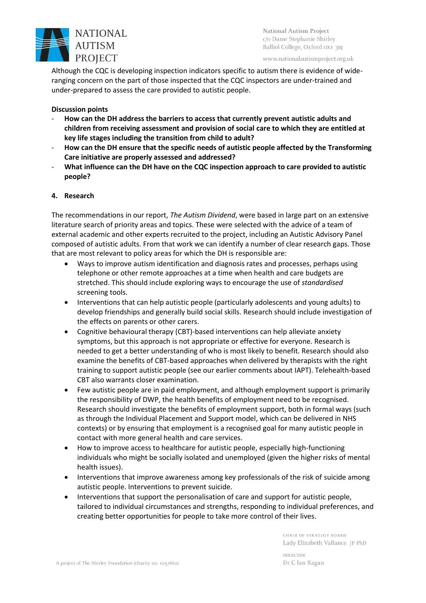

www.nationalautismproject.org.uk

Although the CQC is developing inspection indicators specific to autism there is evidence of wideranging concern on the part of those inspected that the CQC inspectors are under-trained and under-prepared to assess the care provided to autistic people.

### **Discussion points**

- **How can the DH address the barriers to access that currently prevent autistic adults and children from receiving assessment and provision of social care to which they are entitled at key life stages including the transition from child to adult?**
- **How can the DH ensure that the specific needs of autistic people affected by the Transforming Care initiative are properly assessed and addressed?**
- **What influence can the DH have on the CQC inspection approach to care provided to autistic people?**

### **4. Research**

The recommendations in our report, *The Autism Dividend*, were based in large part on an extensive literature search of priority areas and topics. These were selected with the advice of a team of external academic and other experts recruited to the project, including an Autistic Advisory Panel composed of autistic adults. From that work we can identify a number of clear research gaps. Those that are most relevant to policy areas for which the DH is responsible are:

- Ways to improve autism identification and diagnosis rates and processes, perhaps using telephone or other remote approaches at a time when health and care budgets are stretched. This should include exploring ways to encourage the use of *standardised* screening tools.
- Interventions that can help autistic people (particularly adolescents and young adults) to develop friendships and generally build social skills. Research should include investigation of the effects on parents or other carers.
- Cognitive behavioural therapy (CBT)-based interventions can help alleviate anxiety symptoms, but this approach is not appropriate or effective for everyone. Research is needed to get a better understanding of who is most likely to benefit. Research should also examine the benefits of CBT-based approaches when delivered by therapists with the right training to support autistic people (see our earlier comments about IAPT). Telehealth-based CBT also warrants closer examination.
- Few autistic people are in paid employment, and although employment support is primarily the responsibility of DWP, the health benefits of employment need to be recognised. Research should investigate the benefits of employment support, both in formal ways (such as through the Individual Placement and Support model, which can be delivered in NHS contexts) or by ensuring that employment is a recognised goal for many autistic people in contact with more general health and care services.
- How to improve access to healthcare for autistic people, especially high-functioning individuals who might be socially isolated and unemployed (given the higher risks of mental health issues).
- Interventions that improve awareness among key professionals of the risk of suicide among autistic people. Interventions to prevent suicide.
- Interventions that support the personalisation of care and support for autistic people, tailored to individual circumstances and strengths, responding to individual preferences, and creating better opportunities for people to take more control of their lives.

CHAIR OF STRATEGY BOARD Lady Elizabeth Vallance JP PhD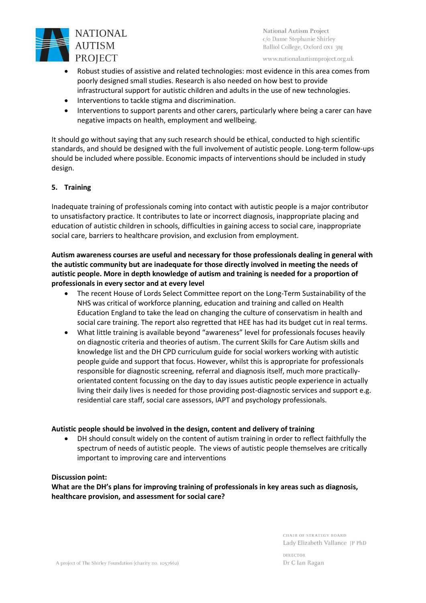

www.nationalautismproject.org.uk

- Robust studies of assistive and related technologies: most evidence in this area comes from poorly designed small studies. Research is also needed on how best to provide infrastructural support for autistic children and adults in the use of new technologies.
- Interventions to tackle stigma and discrimination.
- Interventions to support parents and other carers, particularly where being a carer can have negative impacts on health, employment and wellbeing.

It should go without saying that any such research should be ethical, conducted to high scientific standards, and should be designed with the full involvement of autistic people. Long-term follow-ups should be included where possible. Economic impacts of interventions should be included in study design.

### **5. Training**

Inadequate training of professionals coming into contact with autistic people is a major contributor to unsatisfactory practice. It contributes to late or incorrect diagnosis, inappropriate placing and education of autistic children in schools, difficulties in gaining access to social care, inappropriate social care, barriers to healthcare provision, and exclusion from employment.

# **Autism awareness courses are useful and necessary for those professionals dealing in general with the autistic community but are inadequate for those directly involved in meeting the needs of autistic people. More in depth knowledge of autism and training is needed for a proportion of professionals in every sector and at every level**

- The recent House of Lords Select Committee report on the Long-Term Sustainability of the NHS was critical of workforce planning, education and training and called on Health Education England to take the lead on changing the culture of conservatism in health and social care training. The report also regretted that HEE has had its budget cut in real terms.
- What little training is available beyond "awareness" level for professionals focuses heavily on diagnostic criteria and theories of autism. The current Skills for Care Autism skills and knowledge list and the DH CPD curriculum guide for social workers working with autistic people guide and support that focus. However, whilst this is appropriate for professionals responsible for diagnostic screening, referral and diagnosis itself, much more practicallyorientated content focussing on the day to day issues autistic people experience in actually living their daily lives is needed for those providing post-diagnostic services and support e.g. residential care staff, social care assessors, IAPT and psychology professionals.

#### **Autistic people should be involved in the design, content and delivery of training**

• DH should consult widely on the content of autism training in order to reflect faithfully the spectrum of needs of autistic people. The views of autistic people themselves are critically important to improving care and interventions

#### **Discussion point:**

**What are the DH's plans for improving training of professionals in key areas such as diagnosis, healthcare provision, and assessment for social care?**

> CHAIR OF STRATEGY BOARD Lady Elizabeth Vallance JP PhD

**DIRECTOR** Dr C Ian Ragan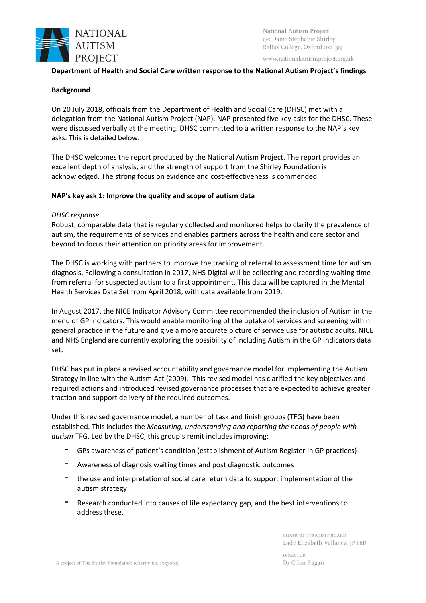

www.nationalautismproject.org.uk

### **Department of Health and Social Care written response to the National Autism Project's findings**

### **Background**

On 20 July 2018, officials from the Department of Health and Social Care (DHSC) met with a delegation from the National Autism Project (NAP). NAP presented five key asks for the DHSC. These were discussed verbally at the meeting. DHSC committed to a written response to the NAP's key asks. This is detailed below.

The DHSC welcomes the report produced by the National Autism Project. The report provides an excellent depth of analysis, and the strength of support from the Shirley Foundation is acknowledged. The strong focus on evidence and cost-effectiveness is commended.

### **NAP's key ask 1: Improve the quality and scope of autism data**

### *DHSC response*

Robust, comparable data that is regularly collected and monitored helps to clarify the prevalence of autism, the requirements of services and enables partners across the health and care sector and beyond to focus their attention on priority areas for improvement.

The DHSC is working with partners to improve the tracking of referral to assessment time for autism diagnosis. Following a consultation in 2017, NHS Digital will be collecting and recording waiting time from referral for suspected autism to a first appointment. This data will be captured in the Mental Health Services Data Set from April 2018, with data available from 2019.

In August 2017, the NICE Indicator Advisory Committee recommended the inclusion of Autism in the menu of GP indicators. This would enable monitoring of the uptake of services and screening within general practice in the future and give a more accurate picture of service use for autistic adults. NICE and NHS England are currently exploring the possibility of including Autism in the GP Indicators data set.

DHSC has put in place a revised accountability and governance model for implementing the Autism Strategy in line with the Autism Act (2009). This revised model has clarified the key objectives and required actions and introduced revised governance processes that are expected to achieve greater traction and support delivery of the required outcomes.

Under this revised governance model, a number of task and finish groups (TFG) have been established. This includes the *Measuring, understanding and reporting the needs of people with autism* TFG. Led by the DHSC, this group's remit includes improving:

- GPs awareness of patient's condition (establishment of Autism Register in GP practices)
- Awareness of diagnosis waiting times and post diagnostic outcomes
- the use and interpretation of social care return data to support implementation of the autism strategy
- Research conducted into causes of life expectancy gap, and the best interventions to address these.

CHAIR OF STRATEGY BOARD Lady Elizabeth Vallance JP PhD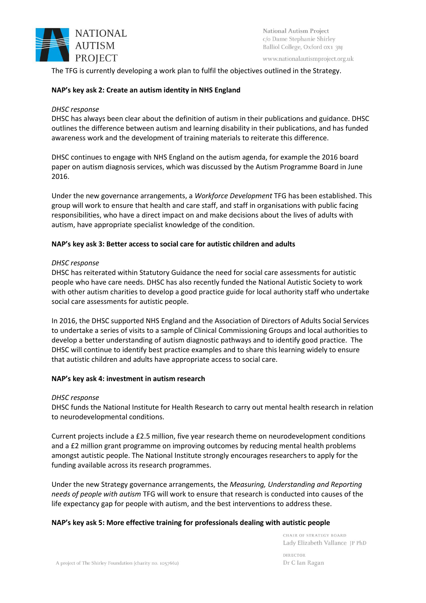

www.nationalautismproject.org.uk

The TFG is currently developing a work plan to fulfil the objectives outlined in the Strategy.

### **NAP's key ask 2: Create an autism identity in NHS England**

### *DHSC response*

DHSC has always been clear about the definition of autism in their publications and guidance. DHSC outlines the difference between autism and learning disability in their publications, and has funded awareness work and the development of training materials to reiterate this difference.

DHSC continues to engage with NHS England on the autism agenda, for example the 2016 board paper on autism diagnosis services, which was discussed by the Autism Programme Board in June 2016.

Under the new governance arrangements, a *Workforce Development* TFG has been established. This group will work to ensure that health and care staff, and staff in organisations with public facing responsibilities, who have a direct impact on and make decisions about the lives of adults with autism, have appropriate specialist knowledge of the condition.

## **NAP's key ask 3: Better access to social care for autistic children and adults**

### *DHSC response*

DHSC has reiterated within Statutory Guidance the need for social care assessments for autistic people who have care needs. DHSC has also recently funded the National Autistic Society to work with other autism charities to develop a good practice guide for local authority staff who undertake social care assessments for autistic people.

In 2016, the DHSC supported NHS England and the Association of Directors of Adults Social Services to undertake a series of visits to a sample of Clinical Commissioning Groups and local authorities to develop a better understanding of autism diagnostic pathways and to identify good practice. The DHSC will continue to identify best practice examples and to share this learning widely to ensure that autistic children and adults have appropriate access to social care.

### **NAP's key ask 4: investment in autism research**

### *DHSC response*

DHSC funds the National Institute for Health Research to carry out mental health research in relation to neurodevelopmental conditions.

Current projects include a £2.5 million, five year research theme on neurodevelopment conditions and a £2 million grant programme on improving outcomes by reducing mental health problems amongst autistic people. The National Institute strongly encourages researchers to apply for the funding available across its research programmes.

Under the new Strategy governance arrangements, the *Measuring, Understanding and Reporting needs of people with autism* TFG will work to ensure that research is conducted into causes of the life expectancy gap for people with autism, and the best interventions to address these.

### **NAP's key ask 5: More effective training for professionals dealing with autistic people**

CHAIR OF STRATEGY BOARD Lady Elizabeth Vallance JP PhD DIRECTOR Dr C Ian Ragan